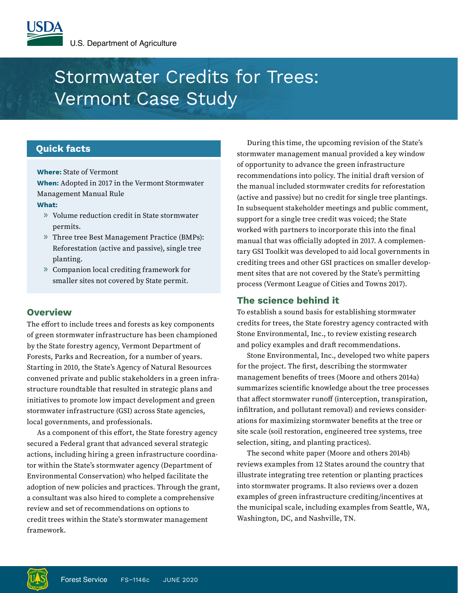# Stormwater Credits for Trees: Vermont Case Study

# **Quick facts**

**Where:** State of Vermont

**When:** Adopted in 2017 in the Vermont Stormwater Management Manual Rule

## **What:**

- » Volume reduction credit in State stormwater permits.
- » Three tree Best Management Practice (BMPs): Reforestation (active and passive), single tree planting.
- » Companion local crediting framework for smaller sites not covered by State permit.

# **Overview**

The effort to include trees and forests as key components of green stormwater infrastructure has been championed by the State forestry agency, Vermont Department of Forests, Parks and Recreation, for a number of years. Starting in 2010, the State's Agency of Natural Resources convened private and public stakeholders in a green infrastructure roundtable that resulted in strategic plans and initiatives to promote low impact development and green stormwater infrastructure (GSI) across State agencies, local governments, and professionals.

As a component of this effort, the State forestry agency secured a Federal grant that advanced several strategic actions, including hiring a green infrastructure coordinator within the State's stormwater agency (Department of Environmental Conservation) who helped facilitate the adoption of new policies and practices. Through the grant, a consultant was also hired to complete a comprehensive review and set of recommendations on options to credit trees within the State's stormwater management framework.

During this time, the upcoming revision of the State's stormwater management manual provided a key window of opportunity to advance the green infrastructure recommendations into policy. The initial draft version of the manual included stormwater credits for reforestation (active and passive) but no credit for single tree plantings. In subsequent stakeholder meetings and public comment, support for a single tree credit was voiced; the State worked with partners to incorporate this into the final manual that was officially adopted in 2017. A complementary GSI Toolkit was developed to aid local governments in crediting trees and other GSI practices on smaller development sites that are not covered by the State's permitting process (Vermont League of Cities and Towns 2017).

# **The science behind it**

To establish a sound basis for establishing stormwater credits for trees, the State forestry agency contracted with Stone Environmental, Inc., to review existing research and policy examples and draft recommendations.

Stone Environmental, Inc., developed two white papers for the project. The first, describing the stormwater management benefits of trees (Moore and others 2014a) summarizes scientific knowledge about the tree processes that affect stormwater runoff (interception, transpiration, infiltration, and pollutant removal) and reviews considerations for maximizing stormwater benefits at the tree or site scale (soil restoration, engineered tree systems, tree selection, siting, and planting practices).

The second white paper (Moore and others 2014b) reviews examples from 12 States around the country that illustrate integrating tree retention or planting practices into stormwater programs. It also reviews over a dozen examples of green infrastructure crediting/incentives at the municipal scale, including examples from Seattle, WA, Washington, DC, and Nashville, TN.

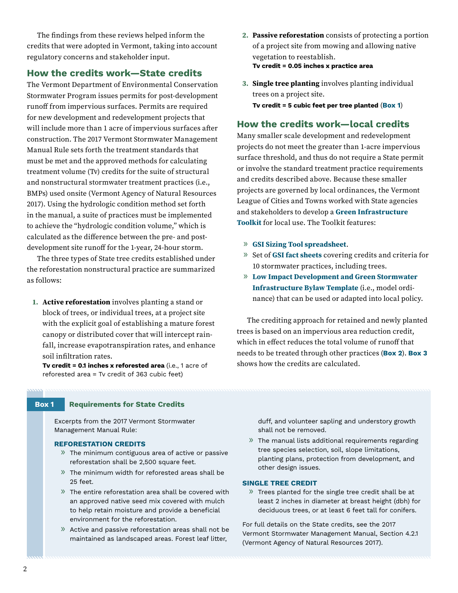The findings from these reviews helped inform the credits that were adopted in Vermont, taking into account regulatory concerns and stakeholder input.

# **How the credits work—State credits**

The Vermont Department of Environmental Conservation Stormwater Program issues permits for post-development runoff from impervious surfaces. Permits are required for new development and redevelopment projects that will include more than 1 acre of impervious surfaces after construction. The 2017 Vermont Stormwater Management Manual Rule sets forth the treatment standards that must be met and the approved methods for calculating treatment volume (Tv) credits for the suite of structural and nonstructural stormwater treatment practices (i.e., BMPs) used onsite (Vermont Agency of Natural Resources 2017). Using the hydrologic condition method set forth in the manual, a suite of practices must be implemented to achieve the "hydrologic condition volume," which is calculated as the difference between the pre- and postdevelopment site runoff for the 1-year, 24-hour storm.

The three types of State tree credits established under the reforestation nonstructural practice are summarized as follows:

**1. Active reforestation** involves planting a stand or block of trees, or individual trees, at a project site with the explicit goal of establishing a mature forest canopy or distributed cover that will intercept rainfall, increase evapotranspiration rates, and enhance soil infiltration rates.

**Tv credit = 0.1 inches x reforested area** (i.e., 1 acre of reforested area = Tv credit of 363 cubic feet)

- **2. Passive reforestation** consists of protecting a portion of a project site from mowing and allowing native vegetation to reestablish. **Tv credit = 0.05 inches x practice area**
- **3. Single tree planting** involves planting individual trees on a project site.

**Tv credit = 5 cubic feet per tree planted** (**Box 1**)

## **How the credits work—local credits**

Many smaller scale development and redevelopment projects do not meet the greater than 1-acre impervious surface threshold, and thus do not require a State permit or involve the standard treatment practice requirements and credits described above. Because these smaller projects are governed by local ordinances, the Vermont League of Cities and Towns worked with State agencies and stakeholders to develop a **[Green Infrastructure](https://www.vlct.org/resource/green-stormwater-infrastructure-toolkit)  [Toolkit](https://www.vlct.org/resource/green-stormwater-infrastructure-toolkit)** for local use. The Toolkit features:

- » **[GSI Sizing Tool spreadsheet](https://www.vlct.org/sites/default/files/documents/Resource/Copy of 2015-GSI-simplified-sizing-spreadsheet.xlsx)**.
- » Set of **[GSI fact sheets](https://www.vlct.org/sites/default/files/documents/Resource/2015_GSI-Simplified-Sizing-Tool-Fact-Sheets.pdf)** covering credits and criteria for 10 stormwater practices, including trees.
- » **[Low Impact Development and Green Stormwater](https://www.vlct.org/resource/low-impact-development-bylaw-template-lid)  [Infrastructure Bylaw Template](https://www.vlct.org/resource/low-impact-development-bylaw-template-lid)** (i.e., model ordinance) that can be used or adapted into local policy.

The crediting approach for retained and newly planted trees is based on an impervious area reduction credit, which in effect reduces the total volume of runoff that needs to be treated through other practices (**Box 2**). **Box 3** shows how the credits are calculated.

#### **Box 1 Requirements for State Credits**

Excerpts from the 2017 Vermont Stormwater Management Manual Rule:

## **REFORESTATION CREDITS**

- » The minimum contiguous area of active or passive reforestation shall be 2,500 square feet.
- » The minimum width for reforested areas shall be 25 feet.
- » The entire reforestation area shall be covered with an approved native seed mix covered with mulch to help retain moisture and provide a beneficial environment for the reforestation.
- » Active and passive reforestation areas shall not be maintained as landscaped areas. Forest leaf litter,

duff, and volunteer sapling and understory growth shall not be removed.

» The manual lists additional requirements regarding tree species selection, soil, slope limitations, planting plans, protection from development, and other design issues.

#### **SINGLE TREE CREDIT**

» Trees planted for the single tree credit shall be at least 2 inches in diameter at breast height (dbh) for deciduous trees, or at least 6 feet tall for conifers.

For full details on the State credits, see the 2017 Vermont Stormwater Management Manual, Section 4.2.1 (Vermont Agency of Natural Resources 2017).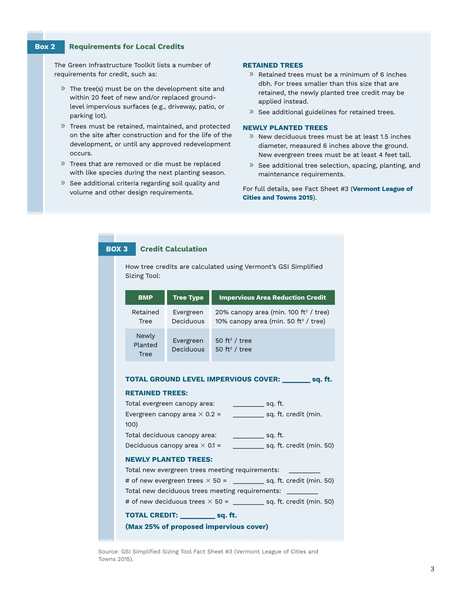## **Box 2 Requirements for Local Credits**

The Green Infrastructure Toolkit lists a number of requirements for credit, such as:

- » The tree(s) must be on the development site and within 20 feet of new and/or replaced groundlevel impervious surfaces (e.g., driveway, patio, or parking lot).
- » Trees must be retained, maintained, and protected on the site after construction and for the life of the development, or until any approved redevelopment occurs.
- » Trees that are removed or die must be replaced with like species during the next planting season.
- » See additional criteria regarding soil quality and volume and other design requirements.

#### **RETAINED TREES**

- » Retained trees must be a minimum of 6 inches dbh. For trees smaller than this size that are retained, the newly planted tree credit may be applied instead.
- » See additional guidelines for retained trees.

## **NEWLY PLANTED TREES**

- » New deciduous trees must be at least 1.5 inches diameter, measured 6 inches above the ground. New evergreen trees must be at least 4 feet tall.
- » See additional tree selection, spacing, planting, and maintenance requirements.

For full details, see Fact Sheet #3 (**[Vermont League of](https://www.vlct.org/sites/default/files/documents/Resource/2015_GSI-Simplified-Sizing-Tool-Fact-Sheets.pdf)  [Cities and Towns 2015](https://www.vlct.org/sites/default/files/documents/Resource/2015_GSI-Simplified-Sizing-Tool-Fact-Sheets.pdf)**).

| <b>BOX 3</b><br><b>Credit Calculation</b>                                      |                                                                           |                              |                                                                                                       |
|--------------------------------------------------------------------------------|---------------------------------------------------------------------------|------------------------------|-------------------------------------------------------------------------------------------------------|
| How tree credits are calculated using Vermont's GSI Simplified<br>Sizing Tool: |                                                                           |                              |                                                                                                       |
|                                                                                | <b>BMP</b>                                                                | <b>Tree Type</b>             | <b>Impervious Area Reduction Credit</b>                                                               |
|                                                                                | Retained<br>Tree                                                          | Evergreen<br>Deciduous       | 20% canopy area (min. 100 ft <sup>2</sup> / tree)<br>10% canopy area (min. 50 ft <sup>2</sup> / tree) |
|                                                                                | Newly<br>Planted<br><b>Tree</b>                                           | Evergreen<br>Deciduous       | 50 ft <sup>2</sup> / tree<br>50 ft <sup>2</sup> / tree                                                |
|                                                                                | TOTAL GROUND LEVEL IMPERVIOUS COVER: ________ sq. ft.                     |                              |                                                                                                       |
|                                                                                | <b>RETAINED TREES:</b>                                                    |                              |                                                                                                       |
|                                                                                |                                                                           | Total evergreen canopy area: | ___________ sq. ft.                                                                                   |
|                                                                                | sq. ft. credit (min.<br>Evergreen canopy area $\times$ 0.2 =<br>100)      |                              |                                                                                                       |
|                                                                                | Total deciduous canopy area:<br>$\sim$ sq. ft.                            |                              |                                                                                                       |
|                                                                                | sq. ft. credit (min. 50)<br>Deciduous canopy area $\times$ 0.1 =          |                              |                                                                                                       |
|                                                                                | <b>NEWLY PLANTED TREES:</b>                                               |                              |                                                                                                       |
|                                                                                | Total new evergreen trees meeting requirements:                           |                              |                                                                                                       |
|                                                                                | # of new evergreen trees $\times$ 50 = _________ sq. ft. credit (min. 50) |                              |                                                                                                       |
|                                                                                | Total new deciduous trees meeting requirements:                           |                              |                                                                                                       |
|                                                                                | # of new deciduous trees $\times$ 50 = _________ sq. ft. credit (min. 50) |                              |                                                                                                       |
|                                                                                | TOTAL CREDIT: sq. ft.                                                     |                              |                                                                                                       |
|                                                                                | (Max 25% of proposed impervious cover)                                    |                              |                                                                                                       |

Source: GSI Simplified Sizing Tool Fact Sheet #3 (Vermont League of Cities and Towns 2015).